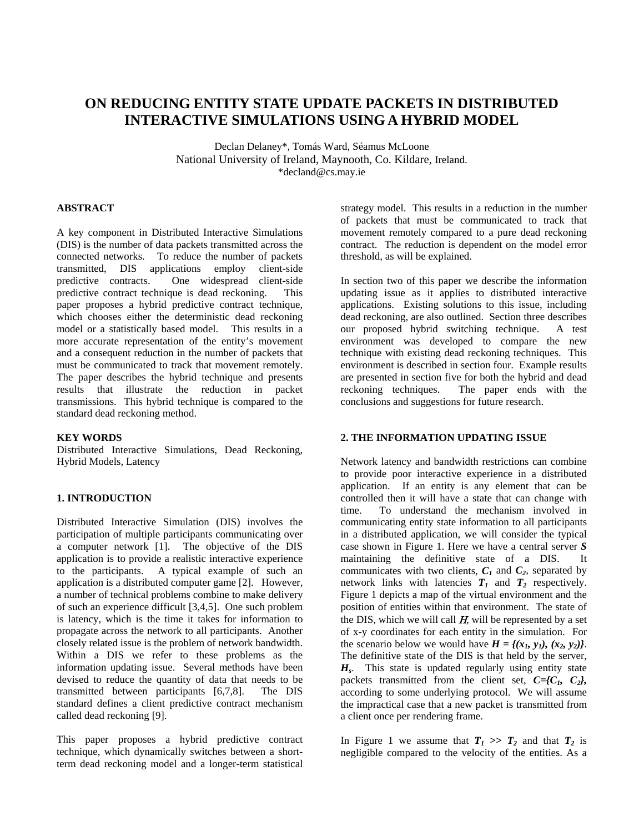# **ON REDUCING ENTITY STATE UPDATE PACKETS IN DISTRIBUTED INTERACTIVE SIMULATIONS USING A HYBRID MODEL**

Declan Delaney\*, Tomás Ward, Séamus McLoone National University of Ireland, Maynooth, Co. Kildare, Ireland. \*decland@cs.may.ie

# **ABSTRACT**

A key component in Distributed Interactive Simulations (DIS) is the number of data packets transmitted across the connected networks. To reduce the number of packets transmitted, DIS applications employ client-side predictive contracts. One widespread client-side predictive contract technique is dead reckoning. This paper proposes a hybrid predictive contract technique, which chooses either the deterministic dead reckoning model or a statistically based model. This results in a more accurate representation of the entity's movement and a consequent reduction in the number of packets that must be communicated to track that movement remotely. The paper describes the hybrid technique and presents results that illustrate the reduction in packet transmissions. This hybrid technique is compared to the standard dead reckoning method.

## **KEY WORDS**

Distributed Interactive Simulations, Dead Reckoning, Hybrid Models, Latency

## **1. INTRODUCTION**

Distributed Interactive Simulation (DIS) involves the participation of multiple participants communicating over a computer network [1]. The objective of the DIS application is to provide a realistic interactive experience to the participants. A typical example of such an application is a distributed computer game [2]. However, a number of technical problems combine to make delivery of such an experience difficult [3,4,5]. One such problem is latency, which is the time it takes for information to propagate across the network to all participants. Another closely related issue is the problem of network bandwidth. Within a DIS we refer to these problems as the information updating issue. Several methods have been devised to reduce the quantity of data that needs to be transmitted between participants [6,7,8]. The DIS standard defines a client predictive contract mechanism called dead reckoning [9].

This paper proposes a hybrid predictive contract technique, which dynamically switches between a shortterm dead reckoning model and a longer-term statistical strategy model. This results in a reduction in the number of packets that must be communicated to track that movement remotely compared to a pure dead reckoning contract. The reduction is dependent on the model error threshold, as will be explained.

In section two of this paper we describe the information updating issue as it applies to distributed interactive applications. Existing solutions to this issue, including dead reckoning, are also outlined. Section three describes our proposed hybrid switching technique. A test environment was developed to compare the new technique with existing dead reckoning techniques. This environment is described in section four. Example results are presented in section five for both the hybrid and dead reckoning techniques. The paper ends with the conclusions and suggestions for future research.

## **2. THE INFORMATION UPDATING ISSUE**

Network latency and bandwidth restrictions can combine to provide poor interactive experience in a distributed application. If an entity is any element that can be controlled then it will have a state that can change with time. To understand the mechanism involved in communicating entity state information to all participants in a distributed application, we will consider the typical case shown in Figure 1. Here we have a central server *S* maintaining the definitive state of a DIS. It communicates with two clients,  $C_1$  and  $C_2$ , separated by network links with latencies  $T_1$  and  $T_2$  respectively. Figure 1 depicts a map of the virtual environment and the position of entities within that environment. The state of the DIS, which we will call  $H$ , will be represented by a set of x-y coordinates for each entity in the simulation. For the scenario below we would have  $H = \{(x_1, y_1), (x_2, y_2)\}.$ The definitive state of the DIS is that held by the server, *Hs*. This state is updated regularly using entity state packets transmitted from the client set,  $C = \{C_1, C_2\}$ , according to some underlying protocol. We will assume the impractical case that a new packet is transmitted from a client once per rendering frame.

In Figure 1 we assume that  $T_1 \gg T_2$  and that  $T_2$  is negligible compared to the velocity of the entities. As a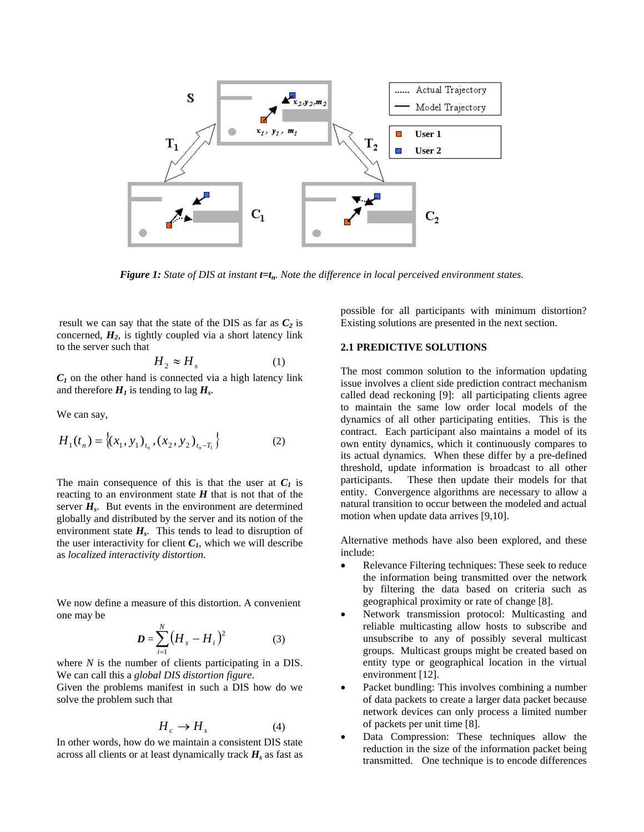

*Figure 1: State of DIS at instant t=tn. Note the difference in local perceived environment states.*

result we can say that the state of the DIS as far as  $C_2$  is concerned,  $H_2$ , is tightly coupled via a short latency link to the server such that

$$
H_2 \approx H_s \tag{1}
$$

 $C_1$  on the other hand is connected via a high latency link and therefore  $H_1$  is tending to lag  $H_s$ .

We can say,

$$
H_1(t_n) = \{(x_1, y_1)_{t_n}, (x_2, y_2)_{t_n - T_1}\}\
$$
 (2)

The main consequence of this is that the user at  $C_1$  is reacting to an environment state  $H$  that is not that of the server  $H_s$ . But events in the environment are determined globally and distributed by the server and its notion of the environment state  $H_s$ . This tends to lead to disruption of the user interactivity for client  $C_1$ , which we will describe as *localized interactivity distortion*.

We now define a measure of this distortion. A convenient one may be

$$
D = \sum_{i=1}^{N} (H_s - H_i)^2
$$
 (3)

where *N* is the number of clients participating in a DIS. We can call this a *global DIS distortion figure*.

Given the problems manifest in such a DIS how do we solve the problem such that

$$
H_c \to H_s \tag{4}
$$

In other words, how do we maintain a consistent DIS state across all clients or at least dynamically track *Hs* as fast as possible for all participants with minimum distortion? Existing solutions are presented in the next section.

# **2.1 PREDICTIVE SOLUTIONS**

The most common solution to the information updating issue involves a client side prediction contract mechanism called dead reckoning [9]: all participating clients agree to maintain the same low order local models of the dynamics of all other participating entities. This is the contract. Each participant also maintains a model of its own entity dynamics, which it continuously compares to its actual dynamics. When these differ by a pre-defined threshold, update information is broadcast to all other participants. These then update their models for that entity. Convergence algorithms are necessary to allow a natural transition to occur between the modeled and actual motion when update data arrives [9,10].

Alternative methods have also been explored, and these include:

- Relevance Filtering techniques: These seek to reduce the information being transmitted over the network by filtering the data based on criteria such as geographical proximity or rate of change [8].
- Network transmission protocol: Multicasting and reliable multicasting allow hosts to subscribe and unsubscribe to any of possibly several multicast groups. Multicast groups might be created based on entity type or geographical location in the virtual environment [12].
- Packet bundling: This involves combining a number of data packets to create a larger data packet because network devices can only process a limited number of packets per unit time [8].
- Data Compression: These techniques allow the reduction in the size of the information packet being transmitted. One technique is to encode differences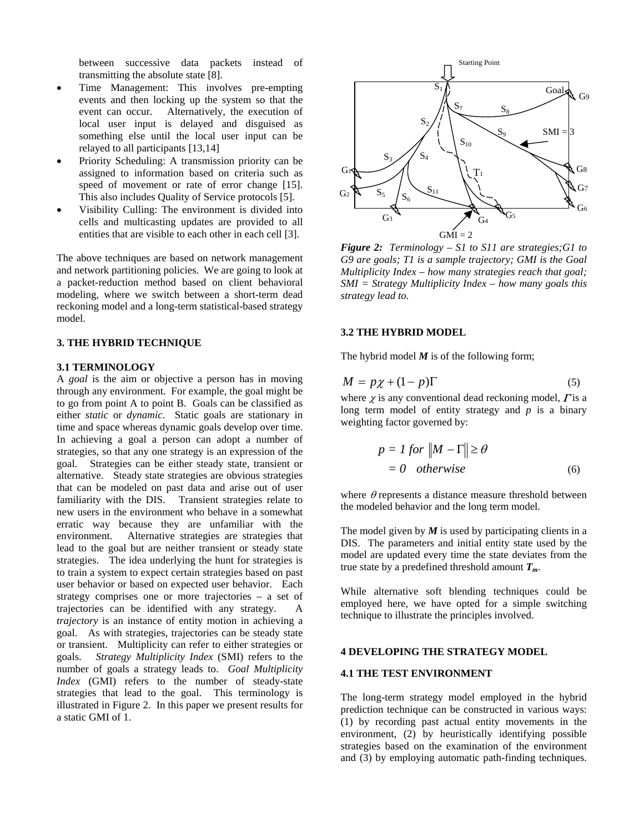between successive data packets instead of transmitting the absolute state [8].

- Time Management: This involves pre-empting  $S_1$ events and then locking up the system so that the event can occur. Alternatively, the execution of local user input is delayed and disguised as something else until the local user input can be relayed to all participants [13,14]
- Priority Scheduling: A transmission priority can be assigned to information based on criteria such as speed of movement or rate of error change [15]. This also includes Quality of Service protocols [5].
- Visibility Culling: The environment is divided into cells and multicasting updates are provided to all entities that are visible to each other in each cell [3].

The above techniques are based on network management and network partitioning policies. We are going to look at a packet-reduction method based on client behavioral modeling, where we switch between a short-term dead reckoning model and a long-term statistical-based strategy model.

#### **3. THE HYBRID TECHNIQUE**

# **3.1 TERMINOLOGY**

A *goal* is the aim or objective a person has in moving through any environment. For example, the goal might be to go from point A to point B. Goals can be classified as either *static* or *dynamic*. Static goals are stationary in time and space whereas dynamic goals develop over time. In achieving a goal a person can adopt a number of strategies, so that any one strategy is an expression of the goal. Strategies can be either steady state, transient or alternative. Steady state strategies are obvious strategies that can be modeled on past data and arise out of user familiarity with the DIS. Transient strategies relate to new users in the environment who behave in a somewhat erratic way because they are unfamiliar with the environment. Alternative strategies are strategies that lead to the goal but are neither transient or steady state strategies. The idea underlying the hunt for strategies is to train a system to expect certain strategies based on past user behavior or based on expected user behavior. Each strategy comprises one or more trajectories – a set of trajectories can be identified with any strategy. A *trajectory* is an instance of entity motion in achieving a goal. As with strategies, trajectories can be steady state or transient. Multiplicity can refer to either strategies or goals. *Strategy Multiplicity Index* (SMI) refers to the number of goals a strategy leads to. *Goal Multiplicity Index* (GMI) refers to the number of steady-state strategies that lead to the goal. This terminology is illustrated in Figure 2. In this paper we present results for a static GMI of 1.



*Figure 2: Terminology – S1 to S11 are strategies;G1 to G9 are goals; T1 is a sample trajectory; GMI is the Goal Multiplicity Index – how many strategies reach that goal; SMI = Strategy Multiplicity Index – how many goals this strategy lead to.* 

#### **3.2 THE HYBRID MODEL**

The hybrid model  $M$  is of the following form;

$$
M = p\chi + (1 - p)\Gamma
$$
 (5)

where  $\chi$  is any conventional dead reckoning model,  $\Gamma$  is a long term model of entity strategy and *p* is a binary weighting factor governed by:

$$
p = 1 \text{ for } ||M - \Gamma|| \ge \theta
$$
  
= 0 otherwise (6)

where  $\theta$  represents a distance measure threshold between the modeled behavior and the long term model.

The model given by  $M$  is used by participating clients in a DIS. The parameters and initial entity state used by the model are updated every time the state deviates from the true state by a predefined threshold amount  $T_m$ .

While alternative soft blending techniques could be employed here, we have opted for a simple switching technique to illustrate the principles involved.

## **4 DEVELOPING THE STRATEGY MODEL**

## **4.1 THE TEST ENVIRONMENT**

The long-term strategy model employed in the hybrid prediction technique can be constructed in various ways: (1) by recording past actual entity movements in the environment, (2) by heuristically identifying possible strategies based on the examination of the environment and (3) by employing automatic path-finding techniques.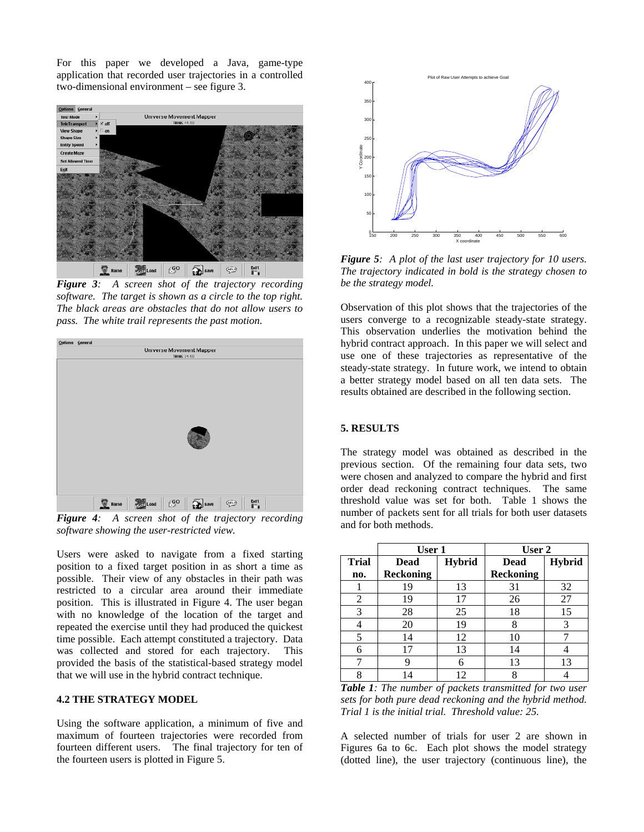For this paper we developed a Java, game-type application that recorded user trajectories in a controlled two-dimensional environment – see figure 3.



*Figure 3: A screen shot of the trajectory recording software. The target is shown as a circle to the top right. The black areas are obstacles that do not allow users to pass. The white trail represents the past motion.*



*Figure 4: A screen shot of the trajectory recording software showing the user-restricted view.*

Users were asked to navigate from a fixed starting position to a fixed target position in as short a time as possible. Their view of any obstacles in their path was restricted to a circular area around their immediate position. This is illustrated in Figure 4. The user began with no knowledge of the location of the target and repeated the exercise until they had produced the quickest time possible. Each attempt constituted a trajectory. Data was collected and stored for each trajectory. This provided the basis of the statistical-based strategy model that we will use in the hybrid contract technique.

# **4.2 THE STRATEGY MODEL**

Using the software application, a minimum of five and maximum of fourteen trajectories were recorded from fourteen different users. The final trajectory for ten of the fourteen users is plotted in Figure 5.



*Figure 5: A plot of the last user trajectory for 10 users. The trajectory indicated in bold is the strategy chosen to be the strategy model.*

Observation of this plot shows that the trajectories of the users converge to a recognizable steady-state strategy. This observation underlies the motivation behind the hybrid contract approach. In this paper we will select and use one of these trajectories as representative of the steady-state strategy. In future work, we intend to obtain a better strategy model based on all ten data sets. The results obtained are described in the following section.

## **5. RESULTS**

The strategy model was obtained as described in the previous section. Of the remaining four data sets, two were chosen and analyzed to compare the hybrid and first order dead reckoning contract techniques. The same threshold value was set for both. Table 1 shows the number of packets sent for all trials for both user datasets and for both methods.

|              | User 1           |               | User 2           |        |
|--------------|------------------|---------------|------------------|--------|
| <b>Trial</b> | Dead             | <b>Hybrid</b> | <b>Dead</b>      | Hybrid |
| no.          | <b>Reckoning</b> |               | <b>Reckoning</b> |        |
|              | 19               | 13            | 31               | 32     |
| 2            | 19               | 17            | 26               | 27     |
| 3            | 28               | 25            | 18               | 15     |
| 4            | 20               | 19            | 8                | 3      |
| 5            | 14               | 12            | 10               |        |
| 6            | 17               | 13            | 14               |        |
|              | 9                | 6             | 13               | 13     |
| 8            | 14               | 12            | 8                |        |

*Table 1: The number of packets transmitted for two user sets for both pure dead reckoning and the hybrid method. Trial 1 is the initial trial. Threshold value: 25.*

A selected number of trials for user 2 are shown in Figures 6a to 6c. Each plot shows the model strategy (dotted line), the user trajectory (continuous line), the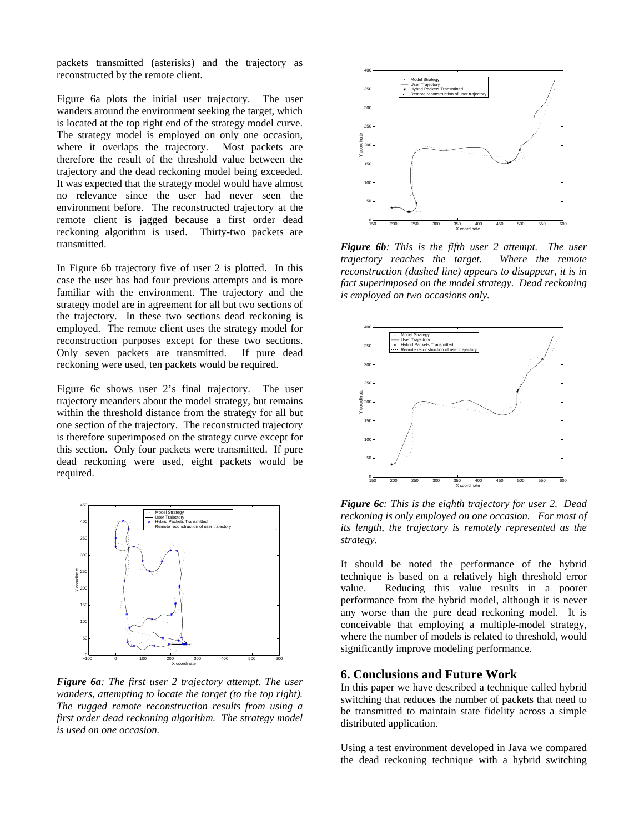packets transmitted (asterisks) and the trajectory as reconstructed by the remote client.

Figure 6a plots the initial user trajectory. The user wanders around the environment seeking the target, which is located at the top right end of the strategy model curve. The strategy model is employed on only one occasion, where it overlaps the trajectory. Most packets are therefore the result of the threshold value between the trajectory and the dead reckoning model being exceeded. It was expected that the strategy model would have almost no relevance since the user had never seen the environment before. The reconstructed trajectory at the remote client is jagged because a first order dead reckoning algorithm is used. Thirty-two packets are transmitted.

In Figure 6b trajectory five of user 2 is plotted. In this case the user has had four previous attempts and is more familiar with the environment. The trajectory and the strategy model are in agreement for all but two sections of the trajectory. In these two sections dead reckoning is employed. The remote client uses the strategy model for reconstruction purposes except for these two sections. Only seven packets are transmitted. If pure dead reckoning were used, ten packets would be required.

Figure 6c shows user 2's final trajectory. The user trajectory meanders about the model strategy, but remains within the threshold distance from the strategy for all but one section of the trajectory. The reconstructed trajectory is therefore superimposed on the strategy curve except for this section. Only four packets were transmitted. If pure dead reckoning were used, eight packets would be required.



*Figure 6a: The first user 2 trajectory attempt. The user wanders, attempting to locate the target (to the top right). The rugged remote reconstruction results from using a first order dead reckoning algorithm. The strategy model is used on one occasion.* 



*Figure 6b: This is the fifth user 2 attempt. The user trajectory reaches the target. Where the remote reconstruction (dashed line) appears to disappear, it is in fact superimposed on the model strategy. Dead reckoning is employed on two occasions only.* 



*Figure 6c: This is the eighth trajectory for user 2. Dead reckoning is only employed on one occasion. For most of its length, the trajectory is remotely represented as the strategy.*

It should be noted the performance of the hybrid technique is based on a relatively high threshold error value. Reducing this value results in a poorer performance from the hybrid model, although it is never any worse than the pure dead reckoning model. It is conceivable that employing a multiple-model strategy, where the number of models is related to threshold, would significantly improve modeling performance.

## **6. Conclusions and Future Work**

In this paper we have described a technique called hybrid switching that reduces the number of packets that need to be transmitted to maintain state fidelity across a simple distributed application.

Using a test environment developed in Java we compared the dead reckoning technique with a hybrid switching